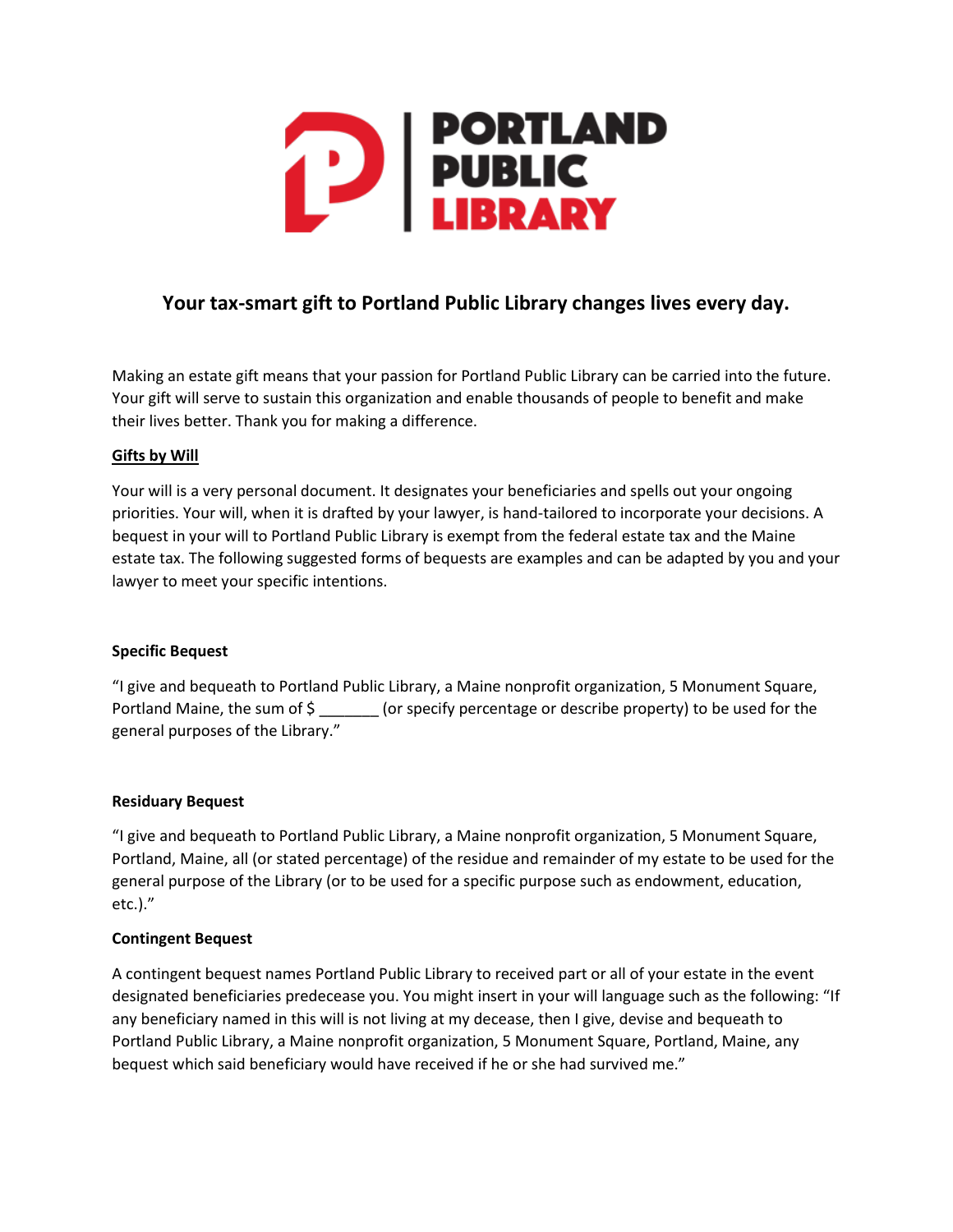

# **Your tax-smart gift to Portland Public Library changes lives every day.**

Making an estate gift means that your passion for Portland Public Library can be carried into the future. Your gift will serve to sustain this organization and enable thousands of people to benefit and make their lives better. Thank you for making a difference.

#### **Gifts by Will**

Your will is a very personal document. It designates your beneficiaries and spells out your ongoing priorities. Your will, when it is drafted by your lawyer, is hand-tailored to incorporate your decisions. A bequest in your will to Portland Public Library is exempt from the federal estate tax and the Maine estate tax. The following suggested forms of bequests are examples and can be adapted by you and your lawyer to meet your specific intentions.

#### **Specific Bequest**

"I give and bequeath to Portland Public Library, a Maine nonprofit organization, 5 Monument Square, Portland Maine, the sum of \$ \_\_\_\_\_\_\_\_ (or specify percentage or describe property) to be used for the general purposes of the Library."

#### **Residuary Bequest**

"I give and bequeath to Portland Public Library, a Maine nonprofit organization, 5 Monument Square, Portland, Maine, all (or stated percentage) of the residue and remainder of my estate to be used for the general purpose of the Library (or to be used for a specific purpose such as endowment, education, etc.)."

#### **Contingent Bequest**

A contingent bequest names Portland Public Library to received part or all of your estate in the event designated beneficiaries predecease you. You might insert in your will language such as the following: "If any beneficiary named in this will is not living at my decease, then I give, devise and bequeath to Portland Public Library, a Maine nonprofit organization, 5 Monument Square, Portland, Maine, any bequest which said beneficiary would have received if he or she had survived me."